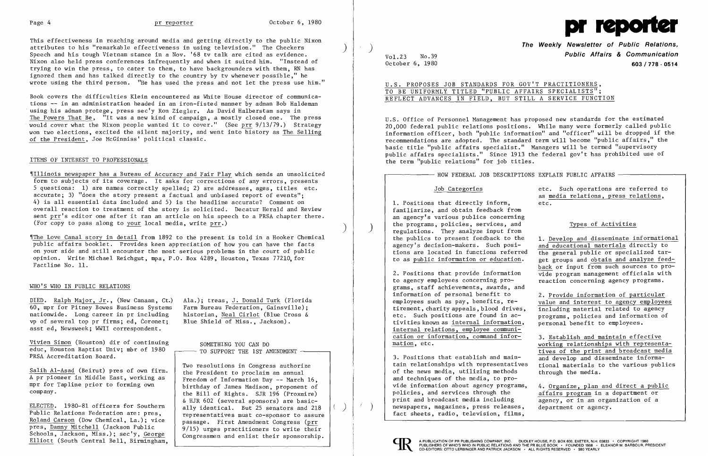This effectiveness in reaching around media and getting directly to the public Nixon<br>attributes to his "remarkable effectiveness in using television." The Checkers Speech and his tough Vietnam stance in a Nov. '68 tv talk are cited as evidence. Nixon also held press conferences infrequently and when it suited him. "Instead of trying to win the press, to cater to them, to have backgrounders with them, RN has ignored them and has talked directly to the country by ty whenever possible," he wrote using the third person. "He has used the press and not let the press use him."

'\I11inois newspaper has a Bureau of Accuracy and Fair Play which sends an unsolicited form to subjects of its coverage. It asks for corrections of any errors, presents 5 questions: 1) are names correctly spelled; 2) are addresses, ages, titles etc. accurate; 3) "does the story present a factual and unbiased report of events"; 4) is all essential data included and 5) is the headline accurate? Comment on overall reaction to treatment of the story is solicited. Decatur Herald and Review sent prr's editor one after it ran an article on his speech to a PRSA chapter there. (For copy to pass along to your local media, write  $pr.$ )

Book covers the difficulties Klein encountered as White House director of communications -- in an administration headed in an iron-fisted manner by adman Bob Haldeman using his adman protege, press sec'y Ron Ziegler. As David Ha1berstam says in The Powers That Be, "It was a new kind of campaign, a mostly closed one. The press would cover what the Nixon people wanted it to cover." (See prr  $9/13/79$ .) Strategy won two elections, excited the silent majority, and went into history as The Selling of the President, Joe McGinniss' political classic.

# ITEMS OF INTEREST TO PROFESSIONALS

DIED. Ralph Major, Jr., (New Canaan, Ct.) Ala.); treas, J. Donald Turk (Florida<br>60, mpr for Pitney Bowes Business Systems Farm Bureau Federation, Gainsville); 60, mpr for Pitney Bowes Business Systems Farm Bureau Federation, Gainsville);<br>nationwide. Long career in pr including historian, Neal Cirlot (Blue Cross & nationwide. Long career in pr including historian, Neal Cirlot (Blue Cross of several top pr firms; ed. Coronet; Blue Shield of Miss.. Jackson). vp of several top pr firms; ed, Coronet; asst ed, Newsweek; WWII correspondent.

Vivien Simon (Houston) dir of continuing SOMETHING YOU CAN DO educ, Houston Baptist Univ; mbr of  $1980$   $\rightarrow$  TO SUPPORT THE 1ST AMENDMENT. PRSA Accreditation Board.

Two resolutions in Congress authorize the Bill of Rights. SJR  $196$  (Proxmire) & HJR 602 (several sponsors) are basic-ELECTED. 1980-81 officers for Southern ally identical. But 25 senators and 218 representatives must co-sponsor to assure Roland Carson (Dow Chemical, La.); vice pres, <u>Danny Mitchell</u> (Jackson Public 9/15) urges practitioners to write their<br>Schools, Jackson, Miss.); sec'y, George congressmen and enlist their consorship

 $\begin{array}{|l|l|}\n \hline\n \text{Salih Al-Asad (Beirut) pres of own firm.} \hline\n \text{A pr pioneer in Middle East, working as} \hline\n \end{array}$ A pr pioneer in Middle East, working as Freedom of Information Day -- March 16,<br>mpr for Tapline prior to forming own hirthday of James Medison, proponent of mpr for Tapline prior to forming own birthday of James Madison, proponent of company.

<u>Roland Carson</u> (Dow Chemical, La.); vice passage. First Amendment Congress (prr<br>pres, Danny Mitchell (Jackson Public ) 9/15) urges practitioners to urite their Schools, Jackson, Miss.); sec'y,  $\frac{George}{G}$  Congressmen and enlist their sponsorship.<br>Elliott (South Central Bell, Birmingham,

**The Weekly Newsletter of Public Relations,**<br>Public Affairs & Communication **Public Affairs & Communication** October 6, 1980 **603/778 - 0514** 

> Job Categories **Exercise Exercise Exercise 2** etc. Such operations are referred to as media relations, press relations, Ĭ

U.s. Office of Personnel Management has proposed new standards for the estimated 20,000 federal public relations positions. While many were formerly called public information officer, both "public information" and "officer" will be dropped if the recommendations are adopted. The standard term will become "public affairs," the basic title "public affairs specialist." Managers will be termed "supervisory public affairs specialists." Since 1913 the federal gov't has prohibited use of the term "public relations" for job titles.

'IThe Love Canal story in detail from 1892 to the present is told in a Hooker Chemical public affairs booklet. Provides keen appreciation of how you can have the facts on your side and still encounter the most serious problems in the court of public opinion. Write Michael Reichgut, mpa, P.O. Box 4289, Houston, Texas 77210, for Fact1ine No. 11.

## WHO'S WHO IN PUBLIC RELATIONS

1. Positions that directly inform, etc. familiarize, and obtain feedback from an agency's various publics concerning the programs, policies, services, and Types of Activities regulations. They analyze input from<br>the publics to present feedback to the

2. Positions that provide information  $\overline{vide}$  program management officials with to agency employees concerning pro-<br>reaction concerning order that concerning agency programs. reaction concerning agency programs. grams, staff achievements, awards, and information of personal benefit to  $2.$  Provide information of particular employees such as pay, benefits, re-<br>value and interest to agency employee value and interest to agency employees<br>including material related to agency tirement, charity appeals, blood drives,<br>etc. Such positions are found in acprograms, policies and information of<br>personal benefit to employees. tivities known as internal information. internal relations, employee communication or information, command infor-<br>mation, etc.<br>working relationships with represent

the publics to present feedback to the 1. Develop and disseminate informational agency's decision-makers. Such posi- and educational materials directly to agency's decision-makers. Such posi-<br>tions are located in functions referred the general public or specialized tartions are located in functions referred  $\frac{1}{\pi}$  the general public or specialized tar-<br>to as public information or education. get groups and obtain and analyze feedget groups and obtain and analyze feedback or input from such sources to pro-

working relationships with representatives of the print and broadcast media 3. Positions that establish and main-<br>tain relationships with representatives  $\frac{1}{\pi}$  tional materials to the various publics

vide information about agency programs,  $\frac{4}{2}$ . Organize, plan and direct a public policies, and services through the  $\frac{4}{2}$  affairs program in a department or affairs program in a department or print and broadcast media including  $\overline{a}$  agency, or in an organization of a department or agency.

tain relationships with representatives of the news media, utilizing methods through the media. and techniques of the media, to pronewspapers, magazines, press releases, fact sheets, radio, television, films,





U.s. PROPOSES JOB STANDARDS FOR GOV'T PRACTITIONERS, TO BE UNIFORMLY TITLED "PUBLIC AFFAIRS SPECIALISTS"; REFLECT ADVANCES IN FIELD, BUT STILL A SERVICE FUNCTION

HOW FEDERAL JOB DESCRIPTIONS EXPLAIN PUBLIC AFFAIRS

)